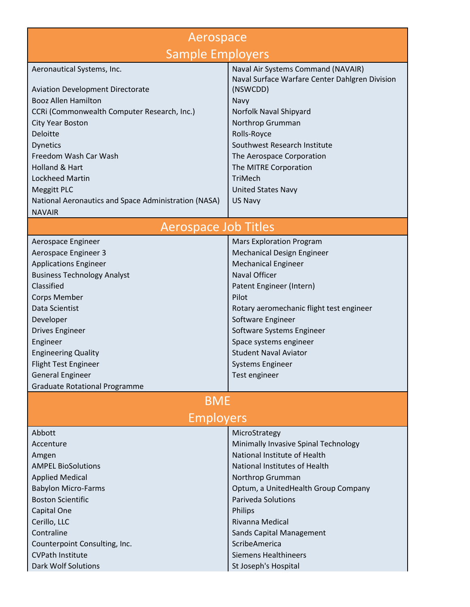| Aerospace                                                             |                                                |
|-----------------------------------------------------------------------|------------------------------------------------|
| <b>Sample Employers</b>                                               |                                                |
| Aeronautical Systems, Inc.                                            | Naval Air Systems Command (NAVAIR)             |
|                                                                       | Naval Surface Warfare Center Dahlgren Division |
| <b>Aviation Development Directorate</b><br><b>Booz Allen Hamilton</b> | (NSWCDD)<br>Navy                               |
| CCRI (Commonwealth Computer Research, Inc.)                           | Norfolk Naval Shipyard                         |
| <b>City Year Boston</b>                                               | Northrop Grumman                               |
| Deloitte                                                              | Rolls-Royce                                    |
| <b>Dynetics</b>                                                       | Southwest Research Institute                   |
| Freedom Wash Car Wash                                                 | The Aerospace Corporation                      |
| Holland & Hart                                                        | The MITRE Corporation                          |
| <b>Lockheed Martin</b>                                                | <b>TriMech</b>                                 |
| <b>Meggitt PLC</b>                                                    | <b>United States Navy</b>                      |
| National Aeronautics and Space Administration (NASA)                  | US Navy                                        |
| <b>NAVAIR</b>                                                         |                                                |
| <b>Aerospace Job Titles</b>                                           |                                                |
| Aerospace Engineer                                                    | <b>Mars Exploration Program</b>                |
| Aerospace Engineer 3                                                  | Mechanical Design Engineer                     |
| <b>Applications Engineer</b>                                          | <b>Mechanical Engineer</b>                     |
| <b>Business Technology Analyst</b>                                    | Naval Officer                                  |
| Classified                                                            | Patent Engineer (Intern)                       |
| <b>Corps Member</b>                                                   | Pilot                                          |
| Data Scientist                                                        | Rotary aeromechanic flight test engineer       |
| Developer<br><b>Drives Engineer</b>                                   | Software Engineer<br>Software Systems Engineer |
| Engineer                                                              | Space systems engineer                         |
| <b>Engineering Quality</b>                                            | <b>Student Naval Aviator</b>                   |
| Flight Test Engineer                                                  | <b>Systems Engineer</b>                        |
| <b>General Engineer</b>                                               | Test engineer                                  |
| <b>Graduate Rotational Programme</b>                                  |                                                |
| <b>BME</b>                                                            |                                                |
| <b>Employers</b>                                                      |                                                |
| Abbott                                                                | MicroStrategy                                  |
| Accenture                                                             | Minimally Invasive Spinal Technology           |
| Amgen                                                                 | National Institute of Health                   |
| <b>AMPEL BioSolutions</b>                                             | National Institutes of Health                  |
| <b>Applied Medical</b>                                                | Northrop Grumman                               |
| <b>Babylon Micro-Farms</b>                                            | Optum, a UnitedHealth Group Company            |
| <b>Boston Scientific</b>                                              | <b>Pariveda Solutions</b>                      |
| Capital One                                                           | Philips                                        |
| Cerillo, LLC                                                          | Rivanna Medical                                |
| Contraline                                                            | <b>Sands Capital Management</b>                |
| Counterpoint Consulting, Inc.                                         | ScribeAmerica                                  |
| <b>CVPath Institute</b>                                               | <b>Siemens Healthineers</b>                    |
| <b>Dark Wolf Solutions</b>                                            | St Joseph's Hospital                           |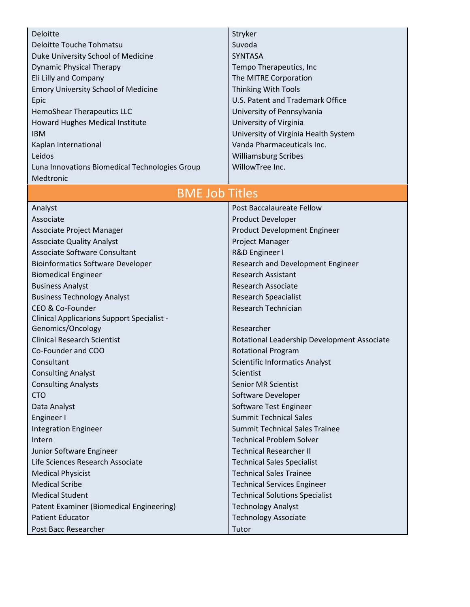| Suvoda<br>Deloitte Touche Tohmatsu<br>Duke University School of Medicine<br><b>SYNTASA</b><br><b>Dynamic Physical Therapy</b><br>Tempo Therapeutics, Inc<br>Eli Lilly and Company<br>The MITRE Corporation<br><b>Emory University School of Medicine</b><br><b>Thinking With Tools</b><br>U.S. Patent and Trademark Office<br>Epic<br>University of Pennsylvania<br>HemoShear Therapeutics LLC<br>University of Virginia<br>Howard Hughes Medical Institute<br>University of Virginia Health System<br><b>IBM</b><br>Vanda Pharmaceuticals Inc.<br>Kaplan International<br><b>Williamsburg Scribes</b><br>Leidos<br>WillowTree Inc.<br>Luna Innovations Biomedical Technologies Group<br>Medtronic<br><b>BME Job Titles</b><br>Post Baccalaureate Fellow<br>Analyst<br>Associate<br>Product Developer<br>Product Development Engineer<br>Associate Project Manager<br><b>Associate Quality Analyst</b><br>Project Manager<br>Associate Software Consultant<br>R&D Engineer I<br><b>Bioinformatics Software Developer</b><br>Research and Development Engineer<br><b>Research Assistant</b><br><b>Biomedical Engineer</b><br><b>Business Analyst</b><br><b>Research Associate</b><br><b>Business Technology Analyst</b><br><b>Research Speacialist</b><br>CEO & Co-Founder<br>Research Technician<br><b>Clinical Applicarions Support Specialist -</b><br>Genomics/Oncology<br>Researcher<br><b>Clinical Research Scientist</b><br>Rotational Leadership Development Associate<br>Co-Founder and COO<br><b>Rotational Program</b><br>Consultant<br><b>Scientific Informatics Analyst</b><br><b>Consulting Analyst</b><br>Scientist<br><b>Consulting Analysts</b><br><b>Senior MR Scientist</b><br><b>CTO</b><br>Software Developer<br>Software Test Engineer<br>Data Analyst<br><b>Summit Technical Sales</b><br>Engineer I<br><b>Summit Technical Sales Trainee</b><br><b>Integration Engineer</b><br><b>Technical Problem Solver</b><br>Intern<br><b>Technical Researcher II</b><br>Junior Software Engineer<br>Life Sciences Research Associate<br><b>Technical Sales Specialist</b><br><b>Technical Sales Trainee</b><br><b>Medical Physicist</b><br><b>Medical Scribe</b><br><b>Technical Services Engineer</b><br><b>Medical Student</b><br><b>Technical Solutions Specialist</b><br><b>Technology Analyst</b><br>Patent Examiner (Biomedical Engineering)<br><b>Patient Educator</b><br><b>Technology Associate</b> | Deloitte             | Stryker |
|---------------------------------------------------------------------------------------------------------------------------------------------------------------------------------------------------------------------------------------------------------------------------------------------------------------------------------------------------------------------------------------------------------------------------------------------------------------------------------------------------------------------------------------------------------------------------------------------------------------------------------------------------------------------------------------------------------------------------------------------------------------------------------------------------------------------------------------------------------------------------------------------------------------------------------------------------------------------------------------------------------------------------------------------------------------------------------------------------------------------------------------------------------------------------------------------------------------------------------------------------------------------------------------------------------------------------------------------------------------------------------------------------------------------------------------------------------------------------------------------------------------------------------------------------------------------------------------------------------------------------------------------------------------------------------------------------------------------------------------------------------------------------------------------------------------------------------------------------------------------------------------------------------------------------------------------------------------------------------------------------------------------------------------------------------------------------------------------------------------------------------------------------------------------------------------------------------------------------------------------------------------------------------------------------------------------------------------------------------------------------------------------------------------------------|----------------------|---------|
|                                                                                                                                                                                                                                                                                                                                                                                                                                                                                                                                                                                                                                                                                                                                                                                                                                                                                                                                                                                                                                                                                                                                                                                                                                                                                                                                                                                                                                                                                                                                                                                                                                                                                                                                                                                                                                                                                                                                                                                                                                                                                                                                                                                                                                                                                                                                                                                                                           |                      |         |
|                                                                                                                                                                                                                                                                                                                                                                                                                                                                                                                                                                                                                                                                                                                                                                                                                                                                                                                                                                                                                                                                                                                                                                                                                                                                                                                                                                                                                                                                                                                                                                                                                                                                                                                                                                                                                                                                                                                                                                                                                                                                                                                                                                                                                                                                                                                                                                                                                           |                      |         |
|                                                                                                                                                                                                                                                                                                                                                                                                                                                                                                                                                                                                                                                                                                                                                                                                                                                                                                                                                                                                                                                                                                                                                                                                                                                                                                                                                                                                                                                                                                                                                                                                                                                                                                                                                                                                                                                                                                                                                                                                                                                                                                                                                                                                                                                                                                                                                                                                                           |                      |         |
|                                                                                                                                                                                                                                                                                                                                                                                                                                                                                                                                                                                                                                                                                                                                                                                                                                                                                                                                                                                                                                                                                                                                                                                                                                                                                                                                                                                                                                                                                                                                                                                                                                                                                                                                                                                                                                                                                                                                                                                                                                                                                                                                                                                                                                                                                                                                                                                                                           |                      |         |
|                                                                                                                                                                                                                                                                                                                                                                                                                                                                                                                                                                                                                                                                                                                                                                                                                                                                                                                                                                                                                                                                                                                                                                                                                                                                                                                                                                                                                                                                                                                                                                                                                                                                                                                                                                                                                                                                                                                                                                                                                                                                                                                                                                                                                                                                                                                                                                                                                           |                      |         |
|                                                                                                                                                                                                                                                                                                                                                                                                                                                                                                                                                                                                                                                                                                                                                                                                                                                                                                                                                                                                                                                                                                                                                                                                                                                                                                                                                                                                                                                                                                                                                                                                                                                                                                                                                                                                                                                                                                                                                                                                                                                                                                                                                                                                                                                                                                                                                                                                                           |                      |         |
|                                                                                                                                                                                                                                                                                                                                                                                                                                                                                                                                                                                                                                                                                                                                                                                                                                                                                                                                                                                                                                                                                                                                                                                                                                                                                                                                                                                                                                                                                                                                                                                                                                                                                                                                                                                                                                                                                                                                                                                                                                                                                                                                                                                                                                                                                                                                                                                                                           |                      |         |
|                                                                                                                                                                                                                                                                                                                                                                                                                                                                                                                                                                                                                                                                                                                                                                                                                                                                                                                                                                                                                                                                                                                                                                                                                                                                                                                                                                                                                                                                                                                                                                                                                                                                                                                                                                                                                                                                                                                                                                                                                                                                                                                                                                                                                                                                                                                                                                                                                           |                      |         |
|                                                                                                                                                                                                                                                                                                                                                                                                                                                                                                                                                                                                                                                                                                                                                                                                                                                                                                                                                                                                                                                                                                                                                                                                                                                                                                                                                                                                                                                                                                                                                                                                                                                                                                                                                                                                                                                                                                                                                                                                                                                                                                                                                                                                                                                                                                                                                                                                                           |                      |         |
|                                                                                                                                                                                                                                                                                                                                                                                                                                                                                                                                                                                                                                                                                                                                                                                                                                                                                                                                                                                                                                                                                                                                                                                                                                                                                                                                                                                                                                                                                                                                                                                                                                                                                                                                                                                                                                                                                                                                                                                                                                                                                                                                                                                                                                                                                                                                                                                                                           |                      |         |
|                                                                                                                                                                                                                                                                                                                                                                                                                                                                                                                                                                                                                                                                                                                                                                                                                                                                                                                                                                                                                                                                                                                                                                                                                                                                                                                                                                                                                                                                                                                                                                                                                                                                                                                                                                                                                                                                                                                                                                                                                                                                                                                                                                                                                                                                                                                                                                                                                           |                      |         |
|                                                                                                                                                                                                                                                                                                                                                                                                                                                                                                                                                                                                                                                                                                                                                                                                                                                                                                                                                                                                                                                                                                                                                                                                                                                                                                                                                                                                                                                                                                                                                                                                                                                                                                                                                                                                                                                                                                                                                                                                                                                                                                                                                                                                                                                                                                                                                                                                                           |                      |         |
|                                                                                                                                                                                                                                                                                                                                                                                                                                                                                                                                                                                                                                                                                                                                                                                                                                                                                                                                                                                                                                                                                                                                                                                                                                                                                                                                                                                                                                                                                                                                                                                                                                                                                                                                                                                                                                                                                                                                                                                                                                                                                                                                                                                                                                                                                                                                                                                                                           |                      |         |
|                                                                                                                                                                                                                                                                                                                                                                                                                                                                                                                                                                                                                                                                                                                                                                                                                                                                                                                                                                                                                                                                                                                                                                                                                                                                                                                                                                                                                                                                                                                                                                                                                                                                                                                                                                                                                                                                                                                                                                                                                                                                                                                                                                                                                                                                                                                                                                                                                           |                      |         |
|                                                                                                                                                                                                                                                                                                                                                                                                                                                                                                                                                                                                                                                                                                                                                                                                                                                                                                                                                                                                                                                                                                                                                                                                                                                                                                                                                                                                                                                                                                                                                                                                                                                                                                                                                                                                                                                                                                                                                                                                                                                                                                                                                                                                                                                                                                                                                                                                                           |                      |         |
|                                                                                                                                                                                                                                                                                                                                                                                                                                                                                                                                                                                                                                                                                                                                                                                                                                                                                                                                                                                                                                                                                                                                                                                                                                                                                                                                                                                                                                                                                                                                                                                                                                                                                                                                                                                                                                                                                                                                                                                                                                                                                                                                                                                                                                                                                                                                                                                                                           |                      |         |
|                                                                                                                                                                                                                                                                                                                                                                                                                                                                                                                                                                                                                                                                                                                                                                                                                                                                                                                                                                                                                                                                                                                                                                                                                                                                                                                                                                                                                                                                                                                                                                                                                                                                                                                                                                                                                                                                                                                                                                                                                                                                                                                                                                                                                                                                                                                                                                                                                           |                      |         |
|                                                                                                                                                                                                                                                                                                                                                                                                                                                                                                                                                                                                                                                                                                                                                                                                                                                                                                                                                                                                                                                                                                                                                                                                                                                                                                                                                                                                                                                                                                                                                                                                                                                                                                                                                                                                                                                                                                                                                                                                                                                                                                                                                                                                                                                                                                                                                                                                                           |                      |         |
|                                                                                                                                                                                                                                                                                                                                                                                                                                                                                                                                                                                                                                                                                                                                                                                                                                                                                                                                                                                                                                                                                                                                                                                                                                                                                                                                                                                                                                                                                                                                                                                                                                                                                                                                                                                                                                                                                                                                                                                                                                                                                                                                                                                                                                                                                                                                                                                                                           |                      |         |
|                                                                                                                                                                                                                                                                                                                                                                                                                                                                                                                                                                                                                                                                                                                                                                                                                                                                                                                                                                                                                                                                                                                                                                                                                                                                                                                                                                                                                                                                                                                                                                                                                                                                                                                                                                                                                                                                                                                                                                                                                                                                                                                                                                                                                                                                                                                                                                                                                           |                      |         |
|                                                                                                                                                                                                                                                                                                                                                                                                                                                                                                                                                                                                                                                                                                                                                                                                                                                                                                                                                                                                                                                                                                                                                                                                                                                                                                                                                                                                                                                                                                                                                                                                                                                                                                                                                                                                                                                                                                                                                                                                                                                                                                                                                                                                                                                                                                                                                                                                                           |                      |         |
|                                                                                                                                                                                                                                                                                                                                                                                                                                                                                                                                                                                                                                                                                                                                                                                                                                                                                                                                                                                                                                                                                                                                                                                                                                                                                                                                                                                                                                                                                                                                                                                                                                                                                                                                                                                                                                                                                                                                                                                                                                                                                                                                                                                                                                                                                                                                                                                                                           |                      |         |
|                                                                                                                                                                                                                                                                                                                                                                                                                                                                                                                                                                                                                                                                                                                                                                                                                                                                                                                                                                                                                                                                                                                                                                                                                                                                                                                                                                                                                                                                                                                                                                                                                                                                                                                                                                                                                                                                                                                                                                                                                                                                                                                                                                                                                                                                                                                                                                                                                           |                      |         |
|                                                                                                                                                                                                                                                                                                                                                                                                                                                                                                                                                                                                                                                                                                                                                                                                                                                                                                                                                                                                                                                                                                                                                                                                                                                                                                                                                                                                                                                                                                                                                                                                                                                                                                                                                                                                                                                                                                                                                                                                                                                                                                                                                                                                                                                                                                                                                                                                                           |                      |         |
|                                                                                                                                                                                                                                                                                                                                                                                                                                                                                                                                                                                                                                                                                                                                                                                                                                                                                                                                                                                                                                                                                                                                                                                                                                                                                                                                                                                                                                                                                                                                                                                                                                                                                                                                                                                                                                                                                                                                                                                                                                                                                                                                                                                                                                                                                                                                                                                                                           |                      |         |
|                                                                                                                                                                                                                                                                                                                                                                                                                                                                                                                                                                                                                                                                                                                                                                                                                                                                                                                                                                                                                                                                                                                                                                                                                                                                                                                                                                                                                                                                                                                                                                                                                                                                                                                                                                                                                                                                                                                                                                                                                                                                                                                                                                                                                                                                                                                                                                                                                           |                      |         |
|                                                                                                                                                                                                                                                                                                                                                                                                                                                                                                                                                                                                                                                                                                                                                                                                                                                                                                                                                                                                                                                                                                                                                                                                                                                                                                                                                                                                                                                                                                                                                                                                                                                                                                                                                                                                                                                                                                                                                                                                                                                                                                                                                                                                                                                                                                                                                                                                                           |                      |         |
|                                                                                                                                                                                                                                                                                                                                                                                                                                                                                                                                                                                                                                                                                                                                                                                                                                                                                                                                                                                                                                                                                                                                                                                                                                                                                                                                                                                                                                                                                                                                                                                                                                                                                                                                                                                                                                                                                                                                                                                                                                                                                                                                                                                                                                                                                                                                                                                                                           |                      |         |
|                                                                                                                                                                                                                                                                                                                                                                                                                                                                                                                                                                                                                                                                                                                                                                                                                                                                                                                                                                                                                                                                                                                                                                                                                                                                                                                                                                                                                                                                                                                                                                                                                                                                                                                                                                                                                                                                                                                                                                                                                                                                                                                                                                                                                                                                                                                                                                                                                           |                      |         |
|                                                                                                                                                                                                                                                                                                                                                                                                                                                                                                                                                                                                                                                                                                                                                                                                                                                                                                                                                                                                                                                                                                                                                                                                                                                                                                                                                                                                                                                                                                                                                                                                                                                                                                                                                                                                                                                                                                                                                                                                                                                                                                                                                                                                                                                                                                                                                                                                                           |                      |         |
|                                                                                                                                                                                                                                                                                                                                                                                                                                                                                                                                                                                                                                                                                                                                                                                                                                                                                                                                                                                                                                                                                                                                                                                                                                                                                                                                                                                                                                                                                                                                                                                                                                                                                                                                                                                                                                                                                                                                                                                                                                                                                                                                                                                                                                                                                                                                                                                                                           |                      |         |
|                                                                                                                                                                                                                                                                                                                                                                                                                                                                                                                                                                                                                                                                                                                                                                                                                                                                                                                                                                                                                                                                                                                                                                                                                                                                                                                                                                                                                                                                                                                                                                                                                                                                                                                                                                                                                                                                                                                                                                                                                                                                                                                                                                                                                                                                                                                                                                                                                           |                      |         |
|                                                                                                                                                                                                                                                                                                                                                                                                                                                                                                                                                                                                                                                                                                                                                                                                                                                                                                                                                                                                                                                                                                                                                                                                                                                                                                                                                                                                                                                                                                                                                                                                                                                                                                                                                                                                                                                                                                                                                                                                                                                                                                                                                                                                                                                                                                                                                                                                                           |                      |         |
|                                                                                                                                                                                                                                                                                                                                                                                                                                                                                                                                                                                                                                                                                                                                                                                                                                                                                                                                                                                                                                                                                                                                                                                                                                                                                                                                                                                                                                                                                                                                                                                                                                                                                                                                                                                                                                                                                                                                                                                                                                                                                                                                                                                                                                                                                                                                                                                                                           |                      |         |
|                                                                                                                                                                                                                                                                                                                                                                                                                                                                                                                                                                                                                                                                                                                                                                                                                                                                                                                                                                                                                                                                                                                                                                                                                                                                                                                                                                                                                                                                                                                                                                                                                                                                                                                                                                                                                                                                                                                                                                                                                                                                                                                                                                                                                                                                                                                                                                                                                           |                      |         |
|                                                                                                                                                                                                                                                                                                                                                                                                                                                                                                                                                                                                                                                                                                                                                                                                                                                                                                                                                                                                                                                                                                                                                                                                                                                                                                                                                                                                                                                                                                                                                                                                                                                                                                                                                                                                                                                                                                                                                                                                                                                                                                                                                                                                                                                                                                                                                                                                                           |                      |         |
|                                                                                                                                                                                                                                                                                                                                                                                                                                                                                                                                                                                                                                                                                                                                                                                                                                                                                                                                                                                                                                                                                                                                                                                                                                                                                                                                                                                                                                                                                                                                                                                                                                                                                                                                                                                                                                                                                                                                                                                                                                                                                                                                                                                                                                                                                                                                                                                                                           |                      |         |
|                                                                                                                                                                                                                                                                                                                                                                                                                                                                                                                                                                                                                                                                                                                                                                                                                                                                                                                                                                                                                                                                                                                                                                                                                                                                                                                                                                                                                                                                                                                                                                                                                                                                                                                                                                                                                                                                                                                                                                                                                                                                                                                                                                                                                                                                                                                                                                                                                           |                      |         |
|                                                                                                                                                                                                                                                                                                                                                                                                                                                                                                                                                                                                                                                                                                                                                                                                                                                                                                                                                                                                                                                                                                                                                                                                                                                                                                                                                                                                                                                                                                                                                                                                                                                                                                                                                                                                                                                                                                                                                                                                                                                                                                                                                                                                                                                                                                                                                                                                                           |                      |         |
|                                                                                                                                                                                                                                                                                                                                                                                                                                                                                                                                                                                                                                                                                                                                                                                                                                                                                                                                                                                                                                                                                                                                                                                                                                                                                                                                                                                                                                                                                                                                                                                                                                                                                                                                                                                                                                                                                                                                                                                                                                                                                                                                                                                                                                                                                                                                                                                                                           |                      |         |
|                                                                                                                                                                                                                                                                                                                                                                                                                                                                                                                                                                                                                                                                                                                                                                                                                                                                                                                                                                                                                                                                                                                                                                                                                                                                                                                                                                                                                                                                                                                                                                                                                                                                                                                                                                                                                                                                                                                                                                                                                                                                                                                                                                                                                                                                                                                                                                                                                           |                      |         |
|                                                                                                                                                                                                                                                                                                                                                                                                                                                                                                                                                                                                                                                                                                                                                                                                                                                                                                                                                                                                                                                                                                                                                                                                                                                                                                                                                                                                                                                                                                                                                                                                                                                                                                                                                                                                                                                                                                                                                                                                                                                                                                                                                                                                                                                                                                                                                                                                                           |                      |         |
|                                                                                                                                                                                                                                                                                                                                                                                                                                                                                                                                                                                                                                                                                                                                                                                                                                                                                                                                                                                                                                                                                                                                                                                                                                                                                                                                                                                                                                                                                                                                                                                                                                                                                                                                                                                                                                                                                                                                                                                                                                                                                                                                                                                                                                                                                                                                                                                                                           |                      |         |
|                                                                                                                                                                                                                                                                                                                                                                                                                                                                                                                                                                                                                                                                                                                                                                                                                                                                                                                                                                                                                                                                                                                                                                                                                                                                                                                                                                                                                                                                                                                                                                                                                                                                                                                                                                                                                                                                                                                                                                                                                                                                                                                                                                                                                                                                                                                                                                                                                           |                      |         |
|                                                                                                                                                                                                                                                                                                                                                                                                                                                                                                                                                                                                                                                                                                                                                                                                                                                                                                                                                                                                                                                                                                                                                                                                                                                                                                                                                                                                                                                                                                                                                                                                                                                                                                                                                                                                                                                                                                                                                                                                                                                                                                                                                                                                                                                                                                                                                                                                                           | Post Bacc Researcher | Tutor   |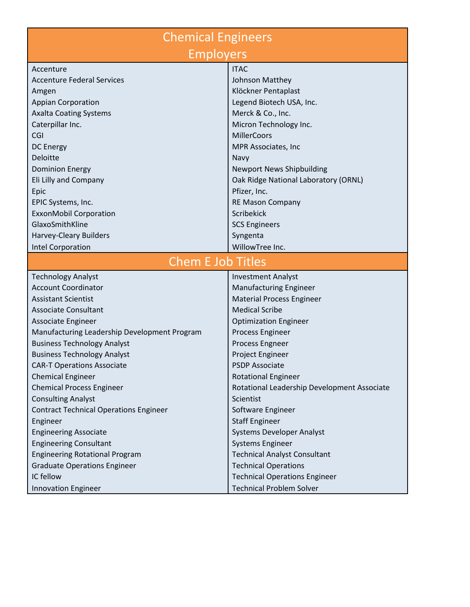| <b>Chemical Engineers</b>                     |                                             |
|-----------------------------------------------|---------------------------------------------|
| <b>Employers</b>                              |                                             |
| Accenture                                     | <b>ITAC</b>                                 |
| <b>Accenture Federal Services</b>             | Johnson Matthey                             |
| Amgen                                         | Klöckner Pentaplast                         |
| <b>Appian Corporation</b>                     | Legend Biotech USA, Inc.                    |
| <b>Axalta Coating Systems</b>                 | Merck & Co., Inc.                           |
| Caterpillar Inc.                              | Micron Technology Inc.                      |
| CGI                                           | <b>MillerCoors</b>                          |
| <b>DC Energy</b>                              | MPR Associates, Inc                         |
| Deloitte                                      | Navy                                        |
| <b>Dominion Energy</b>                        | <b>Newport News Shipbuilding</b>            |
| Eli Lilly and Company                         | Oak Ridge National Laboratory (ORNL)        |
| Epic                                          | Pfizer, Inc.                                |
| EPIC Systems, Inc.                            | <b>RE Mason Company</b>                     |
| <b>ExxonMobil Corporation</b>                 | Scribekick                                  |
| GlaxoSmithKline                               | <b>SCS Engineers</b>                        |
| Harvey-Cleary Builders                        | Syngenta                                    |
| Intel Corporation                             | WillowTree Inc.                             |
| <b>Chem E Job Titles</b>                      |                                             |
| <b>Technology Analyst</b>                     | <b>Investment Analyst</b>                   |
| <b>Account Coordinator</b>                    | <b>Manufacturing Engineer</b>               |
| <b>Assistant Scientist</b>                    | <b>Material Process Engineer</b>            |
| <b>Associate Consultant</b>                   | <b>Medical Scribe</b>                       |
| Associate Engineer                            | <b>Optimization Engineer</b>                |
| Manufacturing Leadership Development Program  | Process Engineer                            |
| <b>Business Technology Analyst</b>            | Process Engneer                             |
| <b>Business Technology Analyst</b>            | Project Engineer                            |
| <b>CAR-T Operations Associate</b>             | <b>PSDP Associate</b>                       |
| <b>Chemical Engineer</b>                      | <b>Rotational Engineer</b>                  |
| <b>Chemical Process Engineer</b>              | Rotational Leadership Development Associate |
| <b>Consulting Analyst</b>                     | Scientist                                   |
| <b>Contract Technical Operations Engineer</b> | Software Engineer                           |
| Engineer                                      | <b>Staff Engineer</b>                       |
| <b>Engineering Associate</b>                  | <b>Systems Developer Analyst</b>            |
| <b>Engineering Consultant</b>                 | <b>Systems Engineer</b>                     |
| <b>Engineering Rotational Program</b>         | <b>Technical Analyst Consultant</b>         |
| <b>Graduate Operations Engineer</b>           | <b>Technical Operations</b>                 |
| IC fellow                                     | <b>Technical Operations Engineer</b>        |
| Innovation Engineer                           | <b>Technical Problem Solver</b>             |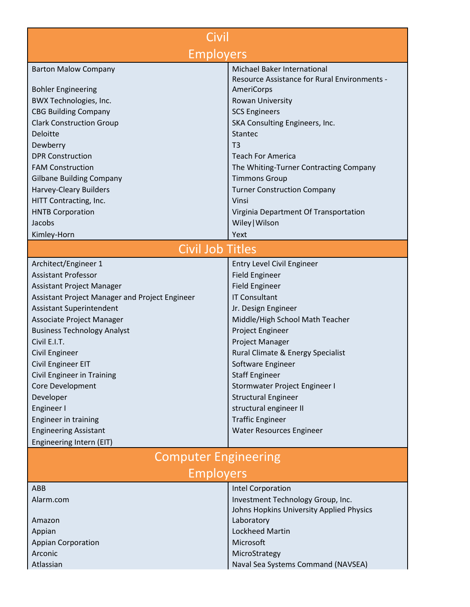| Civil                                          |                                              |  |
|------------------------------------------------|----------------------------------------------|--|
| <b>Employers</b>                               |                                              |  |
| <b>Barton Malow Company</b>                    | Michael Baker International                  |  |
|                                                | Resource Assistance for Rural Environments - |  |
| <b>Bohler Engineering</b>                      | AmeriCorps                                   |  |
| BWX Technologies, Inc.                         | Rowan University                             |  |
| <b>CBG Building Company</b>                    | <b>SCS Engineers</b>                         |  |
| <b>Clark Construction Group</b>                | SKA Consulting Engineers, Inc.               |  |
| <b>Deloitte</b>                                | Stantec                                      |  |
| Dewberry                                       | T <sub>3</sub>                               |  |
| <b>DPR Construction</b>                        | <b>Teach For America</b>                     |  |
| <b>FAM Construction</b>                        | The Whiting-Turner Contracting Company       |  |
| <b>Gilbane Building Company</b>                | <b>Timmons Group</b>                         |  |
| <b>Harvey-Cleary Builders</b>                  | <b>Turner Construction Company</b>           |  |
| HITT Contracting, Inc.                         | Vinsi                                        |  |
| <b>HNTB Corporation</b>                        | Virginia Department Of Transportation        |  |
| Jacobs                                         | Wiley   Wilson                               |  |
| Kimley-Horn                                    | Yext                                         |  |
| <b>Civil Job Titles</b>                        |                                              |  |
| Architect/Engineer 1                           | <b>Entry Level Civil Engineer</b>            |  |
| <b>Assistant Professor</b>                     | <b>Field Engineer</b>                        |  |
| <b>Assistant Project Manager</b>               | <b>Field Engineer</b>                        |  |
| Assistant Project Manager and Project Engineer | <b>IT Consultant</b>                         |  |
| <b>Assistant Superintendent</b>                | Jr. Design Engineer                          |  |
| Associate Project Manager                      | Middle/High School Math Teacher              |  |
| <b>Business Technology Analyst</b>             | Project Engineer                             |  |
| Civil E.I.T.                                   | Project Manager                              |  |
| Civil Engineer                                 | Rural Climate & Energy Specialist            |  |
| Civil Engineer EIT                             | Software Engineer                            |  |
| Civil Engineer in Training                     | <b>Staff Engineer</b>                        |  |
| Core Development                               | Stormwater Project Engineer I                |  |
| Developer                                      | <b>Structural Engineer</b>                   |  |
| Engineer I                                     | structural engineer II                       |  |
| Engineer in training                           | <b>Traffic Engineer</b>                      |  |
| <b>Engineering Assistant</b>                   | Water Resources Engineer                     |  |
| Engineering Intern (EIT)                       |                                              |  |
| <b>Computer Engineering</b>                    |                                              |  |
| <b>Employers</b>                               |                                              |  |
| ABB                                            | <b>Intel Corporation</b>                     |  |
| Alarm.com                                      | Investment Technology Group, Inc.            |  |
|                                                | Johns Hopkins University Applied Physics     |  |
| Amazon                                         | Laboratory                                   |  |
| Appian                                         | <b>Lockheed Martin</b>                       |  |
| <b>Appian Corporation</b>                      | Microsoft                                    |  |
| Arconic                                        | MicroStrategy                                |  |
| Atlassian                                      | Naval Sea Systems Command (NAVSEA)           |  |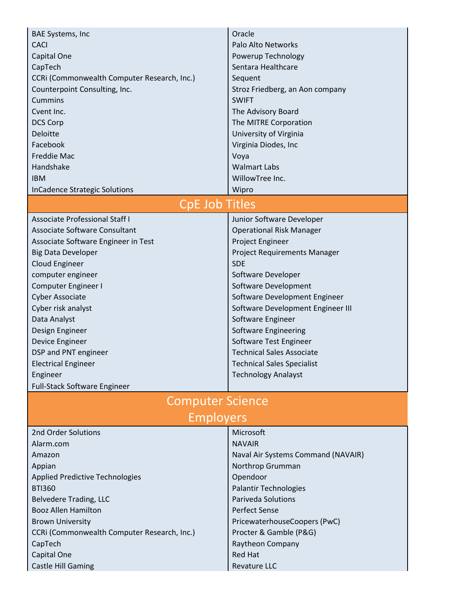| <b>BAE Systems, Inc.</b><br><b>CACI</b><br>Capital One<br>CapTech<br>CCRI (Commonwealth Computer Research, Inc.)<br>Counterpoint Consulting, Inc. | Oracle<br>Palo Alto Networks<br>Powerup Technology<br>Sentara Healthcare<br>Sequent<br>Stroz Friedberg, an Aon company |
|---------------------------------------------------------------------------------------------------------------------------------------------------|------------------------------------------------------------------------------------------------------------------------|
| <b>Cummins</b>                                                                                                                                    | <b>SWIFT</b>                                                                                                           |
| Cvent Inc.                                                                                                                                        | The Advisory Board                                                                                                     |
| <b>DCS Corp</b>                                                                                                                                   | The MITRE Corporation                                                                                                  |
| Deloitte                                                                                                                                          | University of Virginia                                                                                                 |
| Facebook                                                                                                                                          | Virginia Diodes, Inc                                                                                                   |
| Freddie Mac                                                                                                                                       | Voya                                                                                                                   |
| Handshake                                                                                                                                         | <b>Walmart Labs</b>                                                                                                    |
| <b>IBM</b>                                                                                                                                        | WillowTree Inc.                                                                                                        |
| <b>InCadence Strategic Solutions</b>                                                                                                              | Wipro                                                                                                                  |
| <b>CpE Job Titles</b>                                                                                                                             |                                                                                                                        |
| <b>Associate Professional Staff I</b>                                                                                                             | Junior Software Developer                                                                                              |
| Associate Software Consultant                                                                                                                     | <b>Operational Risk Manager</b>                                                                                        |
| Associate Software Engineer in Test                                                                                                               | Project Engineer                                                                                                       |
| <b>Big Data Developer</b>                                                                                                                         | Project Requirements Manager                                                                                           |
| Cloud Engineer                                                                                                                                    | <b>SDE</b>                                                                                                             |
| computer engineer                                                                                                                                 | Software Developer                                                                                                     |
| Computer Engineer I                                                                                                                               | Software Development                                                                                                   |
| <b>Cyber Associate</b>                                                                                                                            | Software Development Engineer                                                                                          |
| Cyber risk analyst                                                                                                                                | Software Development Engineer III                                                                                      |
| Data Analyst                                                                                                                                      | Software Engineer                                                                                                      |
| Design Engineer                                                                                                                                   | Software Engineering                                                                                                   |
| Device Engineer                                                                                                                                   | Software Test Engineer                                                                                                 |
| DSP and PNT engineer                                                                                                                              | <b>Technical Sales Associate</b>                                                                                       |
| <b>Electrical Engineer</b>                                                                                                                        | <b>Technical Sales Specialist</b>                                                                                      |
| Engineer                                                                                                                                          | <b>Technology Analayst</b>                                                                                             |
| Full-Stack Software Engineer                                                                                                                      |                                                                                                                        |
| <b>Computer Science</b>                                                                                                                           |                                                                                                                        |
| <b>Employers</b>                                                                                                                                  |                                                                                                                        |
| 2nd Order Solutions                                                                                                                               | Microsoft                                                                                                              |
| Alarm.com                                                                                                                                         | <b>NAVAIR</b>                                                                                                          |
| Amazon                                                                                                                                            | Naval Air Systems Command (NAVAIR)                                                                                     |
| Appian                                                                                                                                            | Northrop Grumman                                                                                                       |
| <b>Applied Predictive Technologies</b>                                                                                                            | Opendoor                                                                                                               |
| <b>BTI360</b>                                                                                                                                     | <b>Palantir Technologies</b>                                                                                           |
| <b>Belvedere Trading, LLC</b>                                                                                                                     | <b>Pariveda Solutions</b>                                                                                              |
| <b>Booz Allen Hamilton</b>                                                                                                                        | <b>Perfect Sense</b>                                                                                                   |
| <b>Brown University</b>                                                                                                                           | PricewaterhouseCoopers (PwC)                                                                                           |
| CCRi (Commonwealth Computer Research, Inc.)                                                                                                       | Procter & Gamble (P&G)                                                                                                 |
| CapTech                                                                                                                                           | Raytheon Company                                                                                                       |
| Capital One                                                                                                                                       | <b>Red Hat</b>                                                                                                         |
| <b>Castle Hill Gaming</b>                                                                                                                         | <b>Revature LLC</b>                                                                                                    |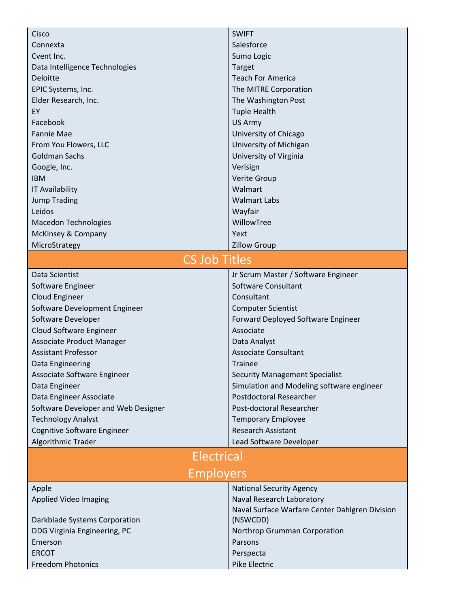| Cisco                               | <b>SWIFT</b>                                                                |
|-------------------------------------|-----------------------------------------------------------------------------|
| Connexta                            | Salesforce                                                                  |
| Cvent Inc.                          | Sumo Logic                                                                  |
| Data Intelligence Technologies      | Target                                                                      |
| Deloitte                            | <b>Teach For America</b>                                                    |
| EPIC Systems, Inc.                  | The MITRE Corporation                                                       |
| Elder Research, Inc.                | The Washington Post                                                         |
| EY                                  | <b>Tuple Health</b>                                                         |
| Facebook                            | US Army                                                                     |
| <b>Fannie Mae</b>                   | University of Chicago                                                       |
| From You Flowers, LLC               | University of Michigan                                                      |
| <b>Goldman Sachs</b>                | University of Virginia                                                      |
| Google, Inc.                        | Verisign                                                                    |
| <b>IBM</b>                          | <b>Verite Group</b>                                                         |
| <b>IT Availability</b>              | Walmart                                                                     |
| <b>Jump Trading</b>                 | <b>Walmart Labs</b>                                                         |
| Leidos                              | Wayfair                                                                     |
| <b>Macedon Technologies</b>         | WillowTree                                                                  |
| McKinsey & Company                  | Yext                                                                        |
| MicroStrategy                       | <b>Zillow Group</b>                                                         |
| <b>CS Job Titles</b>                |                                                                             |
| Data Scientist                      | Jr Scrum Master / Software Engineer                                         |
| Software Engineer                   | Software Consultant                                                         |
| Cloud Engineer                      | Consultant                                                                  |
| Software Development Engineer       | <b>Computer Scientist</b>                                                   |
| Software Developer                  | Forward Deployed Software Engineer                                          |
| Cloud Software Engineer             | Associate                                                                   |
| Associate Product Manager           | Data Analyst                                                                |
| <b>Assistant Professor</b>          | <b>Associate Consultant</b>                                                 |
| Data Engineering                    | <b>Trainee</b>                                                              |
| Associate Software Engineer         | <b>Security Management Specialist</b>                                       |
| Data Engineer                       | Simulation and Modeling software engineer                                   |
| Data Engineer Associate             | Postdoctoral Researcher                                                     |
| Software Developer and Web Designer | Post-doctoral Researcher                                                    |
| <b>Technology Analyst</b>           | <b>Temporary Employee</b>                                                   |
| Cognitive Software Engineer         | <b>Research Assistant</b>                                                   |
| Algorithmic Trader                  | Lead Software Developer                                                     |
| <b>Electrical</b>                   |                                                                             |
| <b>Employers</b>                    |                                                                             |
|                                     |                                                                             |
| Apple                               | <b>National Security Agency</b>                                             |
| <b>Applied Video Imaging</b>        | Naval Research Laboratory<br>Naval Surface Warfare Center Dahlgren Division |
| Darkblade Systems Corporation       | (NSWCDD)                                                                    |
| DDG Virginia Engineering, PC        | Northrop Grumman Corporation                                                |
| Emerson                             | Parsons                                                                     |
| <b>ERCOT</b>                        | Perspecta                                                                   |
| <b>Freedom Photonics</b>            | Pike Electric                                                               |
|                                     |                                                                             |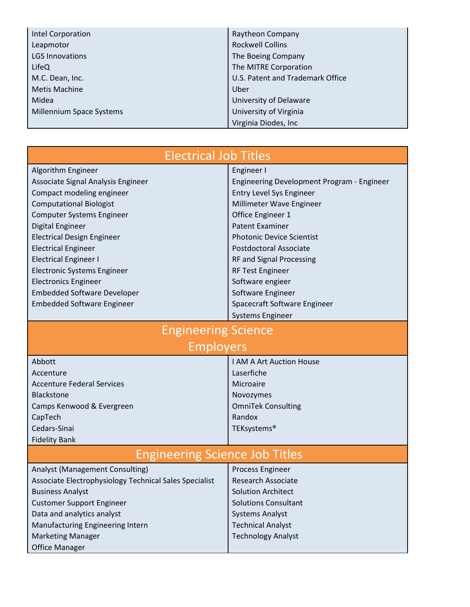| Intel Corporation        | Raytheon Company                 |
|--------------------------|----------------------------------|
| Leapmotor                | <b>Rockwell Collins</b>          |
| <b>LGS Innovations</b>   | The Boeing Company               |
| LifeQ                    | The MITRE Corporation            |
| M.C. Dean, Inc.          | U.S. Patent and Trademark Office |
| <b>Metis Machine</b>     | Uber                             |
| Midea                    | University of Delaware           |
| Millennium Space Systems | University of Virginia           |
|                          | Virginia Diodes, Inc             |

| <b>Electrical Job Titles</b>                           |                                            |
|--------------------------------------------------------|--------------------------------------------|
| Algorithm Engineer                                     | Engineer I                                 |
| Associate Signal Analysis Engineer                     | Engineering Development Program - Engineer |
| Compact modeling engineer                              | <b>Entry Level Sys Engineer</b>            |
| <b>Computational Biologist</b>                         | Millimeter Wave Engineer                   |
| Computer Systems Engineer                              | Office Engineer 1                          |
| Digital Engineer                                       | <b>Patent Examiner</b>                     |
| <b>Electrical Design Engineer</b>                      | <b>Photonic Device Scientist</b>           |
| <b>Electrical Engineer</b>                             | <b>Postdoctoral Associate</b>              |
| <b>Electrical Engineer I</b>                           | RF and Signal Processing                   |
| <b>Electronic Systems Engineer</b>                     | <b>RF Test Engineer</b>                    |
| <b>Electronics Engineer</b>                            | Software engieer                           |
| <b>Embedded Software Developer</b>                     | Software Engineer                          |
| <b>Embedded Software Engineer</b>                      | Spacecraft Software Engineer               |
|                                                        | <b>Systems Engineer</b>                    |
| <b>Engineering Science</b>                             |                                            |
| <b>Employers</b>                                       |                                            |
| Abbott                                                 | I AM A Art Auction House                   |
| Accenture                                              | Laserfiche                                 |
| <b>Accenture Federal Services</b>                      | Microaire                                  |
| <b>Blackstone</b>                                      | Novozymes                                  |
| Camps Kenwood & Evergreen                              | <b>OmniTek Consulting</b>                  |
| CapTech                                                | Randox                                     |
| Cedars-Sinai                                           | TEKsystems®                                |
| <b>Fidelity Bank</b>                                   |                                            |
| <b>Engineering Science Job Titles</b>                  |                                            |
|                                                        |                                            |
| Analyst (Management Consulting)                        | Process Engineer<br>Research Associate     |
| Associate Electrophysiology Technical Sales Specialist |                                            |
| <b>Business Analyst</b>                                | <b>Solution Architect</b>                  |
| <b>Customer Support Engineer</b>                       | <b>Solutions Consultant</b>                |
| Data and analytics analyst                             | <b>Systems Analyst</b>                     |
| Manufacturing Engineering Intern                       | <b>Technical Analyst</b>                   |
| <b>Marketing Manager</b>                               | <b>Technology Analyst</b>                  |
| <b>Office Manager</b>                                  |                                            |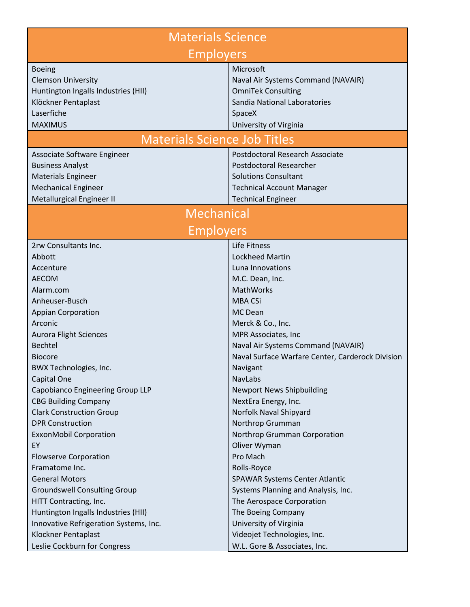| <b>Materials Science</b>                                        |                                                          |
|-----------------------------------------------------------------|----------------------------------------------------------|
| <b>Employers</b>                                                |                                                          |
| <b>Boeing</b>                                                   | Microsoft                                                |
| <b>Clemson University</b>                                       | Naval Air Systems Command (NAVAIR)                       |
| Huntington Ingalls Industries (HII)                             | <b>OmniTek Consulting</b>                                |
| Klöckner Pentaplast                                             | Sandia National Laboratories                             |
| Laserfiche                                                      | SpaceX                                                   |
| <b>MAXIMUS</b>                                                  | University of Virginia                                   |
| <b>Materials Science Job Titles</b>                             |                                                          |
| Associate Software Engineer                                     | <b>Postdoctoral Research Associate</b>                   |
| <b>Business Analyst</b>                                         | <b>Postdoctoral Researcher</b>                           |
| <b>Materials Engineer</b>                                       | <b>Solutions Consultant</b>                              |
| <b>Mechanical Engineer</b>                                      | <b>Technical Account Manager</b>                         |
| Metallurgical Engineer II                                       | <b>Technical Engineer</b>                                |
| <b>Mechanical</b>                                               |                                                          |
| <b>Employers</b>                                                |                                                          |
| 2rw Consultants Inc.                                            | Life Fitness                                             |
| Abbott                                                          | <b>Lockheed Martin</b>                                   |
| Accenture                                                       | Luna Innovations                                         |
| <b>AECOM</b>                                                    | M.C. Dean, Inc.                                          |
| Alarm.com                                                       | MathWorks                                                |
| Anheuser-Busch                                                  | <b>MBA CSi</b>                                           |
| <b>Appian Corporation</b>                                       | <b>MC</b> Dean                                           |
| Arconic                                                         | Merck & Co., Inc.                                        |
| <b>Aurora Flight Sciences</b>                                   | MPR Associates, Inc                                      |
| Bechtel                                                         | Naval Air Systems Command (NAVAIR)                       |
| <b>Biocore</b>                                                  | Naval Surface Warfare Center, Carderock Division         |
| BWX Technologies, Inc.                                          | Navigant                                                 |
| Capital One                                                     | <b>NavLabs</b>                                           |
| Capobianco Engineering Group LLP<br><b>CBG Building Company</b> | <b>Newport News Shipbuilding</b><br>NextEra Energy, Inc. |
| <b>Clark Construction Group</b>                                 | Norfolk Naval Shipyard                                   |
| <b>DPR Construction</b>                                         | Northrop Grumman                                         |
| <b>ExxonMobil Corporation</b>                                   | Northrop Grumman Corporation                             |
| EY                                                              | Oliver Wyman                                             |
| <b>Flowserve Corporation</b>                                    | Pro Mach                                                 |
| Framatome Inc.                                                  | Rolls-Royce                                              |
| <b>General Motors</b>                                           | <b>SPAWAR Systems Center Atlantic</b>                    |
| <b>Groundswell Consulting Group</b>                             | Systems Planning and Analysis, Inc.                      |
| HITT Contracting, Inc.                                          | The Aerospace Corporation                                |
| Huntington Ingalls Industries (HII)                             | The Boeing Company                                       |
| Innovative Refrigeration Systems, Inc.                          | University of Virginia                                   |
| Klockner Pentaplast                                             | Videojet Technologies, Inc.                              |
| Leslie Cockburn for Congress                                    | W.L. Gore & Associates, Inc.                             |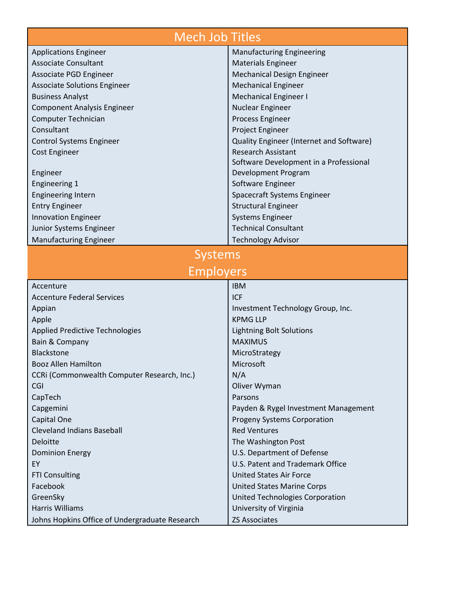| <b>Mech Job Titles</b>                         |                                          |
|------------------------------------------------|------------------------------------------|
| <b>Applications Engineer</b>                   | <b>Manufacturing Engineering</b>         |
| <b>Associate Consultant</b>                    | <b>Materials Engineer</b>                |
| Associate PGD Engineer                         | Mechanical Design Engineer               |
| <b>Associate Solutions Engineer</b>            | <b>Mechanical Engineer</b>               |
| <b>Business Analyst</b>                        | <b>Mechanical Engineer I</b>             |
| <b>Component Analysis Engineer</b>             | Nuclear Engineer                         |
| Computer Technician                            | Process Engineer                         |
| Consultant                                     | Project Engineer                         |
| <b>Control Systems Engineer</b>                | Quality Engineer (Internet and Software) |
| <b>Cost Engineer</b>                           | <b>Research Assistant</b>                |
|                                                | Software Development in a Professional   |
| Engineer                                       | Development Program                      |
| <b>Engineering 1</b>                           | Software Engineer                        |
| <b>Engineering Intern</b>                      | Spacecraft Systems Engineer              |
| <b>Entry Engineer</b>                          | <b>Structural Engineer</b>               |
| <b>Innovation Engineer</b>                     | <b>Systems Engineer</b>                  |
| Junior Systems Engineer                        | <b>Technical Consultant</b>              |
| <b>Manufacturing Engineer</b>                  | <b>Technology Advisor</b>                |
| <b>Systems</b><br><b>Employers</b>             |                                          |
| Accenture                                      | <b>IBM</b>                               |
| <b>Accenture Federal Services</b>              | <b>ICF</b>                               |
| Appian                                         | Investment Technology Group, Inc.        |
| Apple                                          | <b>KPMG LLP</b>                          |
| <b>Applied Predictive Technologies</b>         | <b>Lightning Bolt Solutions</b>          |
| Bain & Company                                 | <b>MAXIMUS</b>                           |
| <b>Blackstone</b>                              | MicroStrategy                            |
| <b>Booz Allen Hamilton</b>                     | Microsoft                                |
| CCRI (Commonwealth Computer Research, Inc.)    | N/A                                      |
| CGI                                            | Oliver Wyman                             |
| CapTech                                        | Parsons                                  |
| Capgemini                                      | Payden & Rygel Investment Management     |
| Capital One                                    | <b>Progeny Systems Corporation</b>       |
| <b>Cleveland Indians Baseball</b>              | <b>Red Ventures</b>                      |
| Deloitte                                       | The Washington Post                      |
| <b>Dominion Energy</b>                         | U.S. Department of Defense               |
| EY                                             | U.S. Patent and Trademark Office         |
| <b>FTI Consulting</b>                          | <b>United States Air Force</b>           |
| Facebook                                       | <b>United States Marine Corps</b>        |
| GreenSky                                       | United Technologies Corporation          |
| <b>Harris Williams</b>                         | University of Virginia                   |
| Johns Hopkins Office of Undergraduate Research | <b>ZS Associates</b>                     |